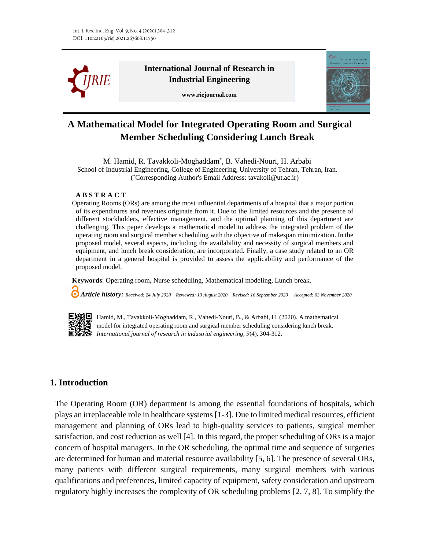

**International Journal of Research in Industrial Engineering**

**www.riejournal.com**



# **A Mathematical Model for Integrated Operating Room and Surgical Member Scheduling Considering Lunch Break**

M. Hamid, R. Tavakkoli-Moghaddam\* , B. Vahedi-Nouri, H. Arbabi School of Industrial Engineering, College of Engineering, University of Tehran, Tehran, Iran. ( \*Corresponding Author's Email Address: tavakoli@ut.ac.ir)

#### **A B S T R A C T**

Operating Rooms (ORs) are among the most influential departments of a hospital that a major portion of its expenditures and revenues originate from it. Due to the limited resources and the presence of different stockholders, effective management, and the optimal planning of this department are challenging. This paper develops a mathematical model to address the integrated problem of the operating room and surgical member scheduling with the objective of makespan minimization. In the proposed model, several aspects, including the availability and necessity of surgical members and equipment, and lunch break consideration, are incorporated. Finally, a case study related to an OR department in a general hospital is provided to assess the applicability and performance of the proposed model.

**Keywords**: Operating room, Nurse scheduling, Mathematical modeling, Lunch break.

 *Article history: Received: 24 July 2020 Reviewed: 13 August 2020 Revised: 16 September 2020 Accepted: 03 November 2020*



Hamid, M., Tavakkoli-Moghaddam, R., Vahedi-Nouri, B., & Arbabi, H. (2020). A mathematical model for integrated operating room and surgical member scheduling considering lunch break. *International journal of research in industrial engineering, 9*(4), 304-312.

# **1. Introduction**

The Operating Room (OR) department is among the essential foundations of hospitals, which plays an irreplaceable role in healthcare systems [1-3]. Due to limited medical resources, efficient management and planning of ORs lead to high-quality services to patients, surgical member satisfaction, and cost reduction as well [4]. In this regard, the proper scheduling of ORs is a major concern of hospital managers. In the OR scheduling, the optimal time and sequence of surgeries are determined for human and material resource availability [5, 6]. The presence of several ORs, many patients with different surgical requirements, many surgical members with various qualifications and preferences, limited capacity of equipment, safety consideration and upstream regulatory highly increases the complexity of OR scheduling problems [2, 7, 8]. To simplify the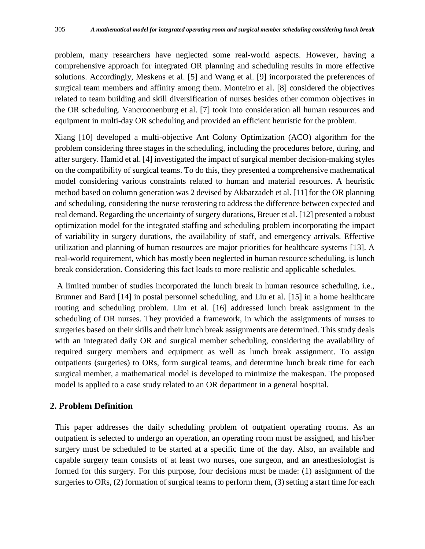problem, many researchers have neglected some real-world aspects. However, having a comprehensive approach for integrated OR planning and scheduling results in more effective solutions. Accordingly, Meskens et al. [5] and Wang et al. [9] incorporated the preferences of surgical team members and affinity among them. Monteiro et al. [8] considered the objectives related to team building and skill diversification of nurses besides other common objectives in the OR scheduling. Vancroonenburg et al. [7] took into consideration all human resources and equipment in multi-day OR scheduling and provided an efficient heuristic for the problem.

Xiang [10] developed a multi-objective Ant Colony Optimization (ACO) algorithm for the problem considering three stages in the scheduling, including the procedures before, during, and after surgery. Hamid et al. [4] investigated the impact of surgical member decision-making styles on the compatibility of surgical teams. To do this, they presented a comprehensive mathematical model considering various constraints related to human and material resources. A heuristic method based on column generation was 2 devised by Akbarzadeh et al. [11] for the OR planning and scheduling, considering the nurse rerostering to address the difference between expected and real demand. Regarding the uncertainty of surgery durations, Breuer et al. [12] presented a robust optimization model for the integrated staffing and scheduling problem incorporating the impact of variability in surgery durations, the availability of staff, and emergency arrivals. Effective utilization and planning of human resources are major priorities for healthcare systems [13]. A real-world requirement, which has mostly been neglected in human resource scheduling, is lunch break consideration. Considering this fact leads to more realistic and applicable schedules.

A limited number of studies incorporated the lunch break in human resource scheduling, i.e., Brunner and Bard [14] in postal personnel scheduling, and Liu et al. [15] in a home healthcare routing and scheduling problem. Lim et al. [16] addressed lunch break assignment in the scheduling of OR nurses. They provided a framework, in which the assignments of nurses to surgeries based on their skills and their lunch break assignments are determined. This study deals with an integrated daily OR and surgical member scheduling, considering the availability of required surgery members and equipment as well as lunch break assignment. To assign outpatients (surgeries) to ORs, form surgical teams, and determine lunch break time for each surgical member, a mathematical model is developed to minimize the makespan. The proposed model is applied to a case study related to an OR department in a general hospital.

## **2. Problem Definition**

This paper addresses the daily scheduling problem of outpatient operating rooms. As an outpatient is selected to undergo an operation, an operating room must be assigned, and his/her surgery must be scheduled to be started at a specific time of the day. Also, an available and capable surgery team consists of at least two nurses, one surgeon, and an anesthesiologist is formed for this surgery. For this purpose, four decisions must be made: (1) assignment of the surgeries to ORs, (2) formation of surgical teams to perform them, (3) setting a start time for each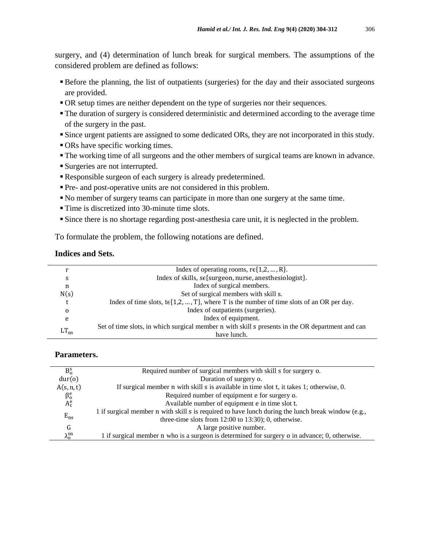surgery, and (4) determination of lunch break for surgical members. The assumptions of the considered problem are defined as follows:

- Before the planning, the list of outpatients (surgeries) for the day and their associated surgeons are provided.
- OR setup times are neither dependent on the type of surgeries nor their sequences.
- The duration of surgery is considered deterministic and determined according to the average time of the surgery in the past.
- Since urgent patients are assigned to some dedicated ORs, they are not incorporated in this study.
- ORs have specific working times.
- The working time of all surgeons and the other members of surgical teams are known in advance.
- Surgeries are not interrupted.
- Responsible surgeon of each surgery is already predetermined.
- Pre- and post-operative units are not considered in this problem.
- No member of surgery teams can participate in more than one surgery at the same time.
- Time is discretized into 30-minute time slots.
- Since there is no shortage regarding post-anesthesia care unit, it is neglected in the problem.

To formulate the problem, the following notations are defined.

### **Indices and Sets.**

|           | Index of operating rooms, $r \in \{1, 2, , R\}$ .                                                |  |  |
|-----------|--------------------------------------------------------------------------------------------------|--|--|
| S         | Index of skills, se{surgeon, nurse, anesthesiologist}.                                           |  |  |
| n         | Index of surgical members.                                                                       |  |  |
| N(s)      | Set of surgical members with skill s.                                                            |  |  |
|           | Index of time slots, $te\{1,2,,T\}$ , where T is the number of time slots of an OR per day.      |  |  |
| 0         | Index of outpatients (surgeries).                                                                |  |  |
| e         | Index of equipment.                                                                              |  |  |
| $LT_{sn}$ | Set of time slots, in which surgical member n with skill s presents in the OR department and can |  |  |
|           | have lunch.                                                                                      |  |  |

## **Parameters.**

| $B_0^s$              | Required number of surgical members with skill s for surgery o.                                    |  |  |  |
|----------------------|----------------------------------------------------------------------------------------------------|--|--|--|
| dur(o)               | Duration of surgery o.                                                                             |  |  |  |
| A(s, n, t)           | If surgical member n with skill s is available in time slot t, it takes 1; otherwise, 0.           |  |  |  |
| $\beta_{o}^{e}$      | Required number of equipment e for surgery o.                                                      |  |  |  |
| $A_t^e$              | Available number of equipment e in time slot t.                                                    |  |  |  |
|                      | 1 if surgical member n with skill s is required to have lunch during the lunch break window (e.g., |  |  |  |
| $E_{ns}$             | three-time slots from $12:00$ to $13:30$ ; 0, otherwise.                                           |  |  |  |
| G                    | A large positive number.                                                                           |  |  |  |
| $\lambda_0^{\rm sn}$ | 1 if surgical member n who is a surgeon is determined for surgery o in advance; 0, otherwise.      |  |  |  |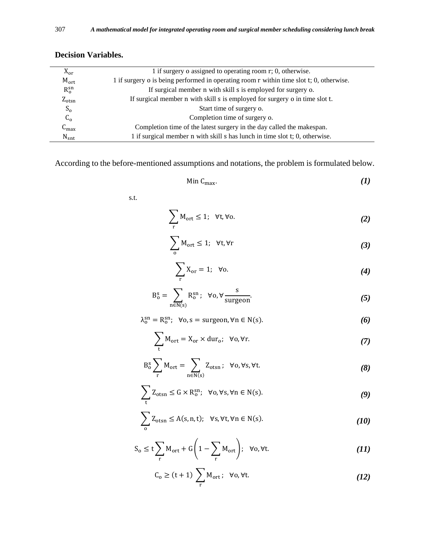| $X_{\text{or}}$   | 1 if surgery o assigned to operating room r; 0, otherwise.                              |  |  |
|-------------------|-----------------------------------------------------------------------------------------|--|--|
| $M_{\text{ort}}$  | 1 if surgery o is being performed in operating room r within time slot t; 0, otherwise. |  |  |
| $R_0^{sn}$        | If surgical member n with skill s is employed for surgery o.                            |  |  |
| $Z_{\text{otsn}}$ | If surgical member n with skill s is employed for surgery o in time slot t.             |  |  |
| $S_0$             | Start time of surgery o.                                                                |  |  |
| $C_{o}$           | Completion time of surgery o.                                                           |  |  |
| $C_{\text{max}}$  | Completion time of the latest surgery in the day called the makespan.                   |  |  |
| $N_{\rm snt}$     | 1 if surgical member n with skill s has lunch in time slot t; 0, otherwise.             |  |  |
|                   |                                                                                         |  |  |

# **Decision Variables.**

According to the before-mentioned assumptions and notations, the problem is formulated below.

$$
\text{Min } C_{\text{max}}.\tag{1}
$$

s.t.

$$
\sum_{\rm r} M_{\rm ort} \le 1; \ \ \forall {\rm t}, \forall {\rm o}. \tag{2}
$$

$$
\sum_{\mathbf{0}} \mathbf{M}_{\text{ort}} \leq 1; \quad \forall \mathbf{t}, \forall \mathbf{r}
$$
 (3)

$$
\sum_{\mathbf{r}} \mathbf{X}_{\mathbf{or}} = 1; \quad \forall \mathbf{o}. \tag{4}
$$

$$
B_o^s = \sum_{n \in N(s)} R_o^{sn}; \quad \forall o, \forall \frac{s}{surgeon}.
$$
 (5)

$$
\lambda_0^{\rm sn} = \mathbf{R}_0^{\rm sn}; \ \forall \mathbf{o}, \mathbf{s} = \text{surgeon}, \forall \mathbf{n} \in \mathbf{N}(\mathbf{s}). \tag{6}
$$

$$
\sum_{t} M_{ort} = X_{or} \times dur_o; \ \forall o, \forall r.
$$
 (7)

$$
B_o^s \sum_{r} M_{ort} = \sum_{n \in N(s)} Z_{otsn} ; \quad \forall o, \forall s, \forall t.
$$
 (8)

$$
\sum_{t} Z_{\text{otsn}} \leq G \times R_o^{\text{sn}}; \quad \forall o, \forall s, \forall n \in N(s).
$$
 (9)

$$
\sum_{o} Z_{otsn} \le A(s, n, t); \quad \forall s, \forall t, \forall n \in N(s). \tag{10}
$$

$$
S_0 \le t \sum_{r} M_{ort} + G \left( 1 - \sum_{r} M_{ort} \right); \quad \forall o, \forall t. \tag{11}
$$

$$
C_0 \ge (t+1) \sum_{r} M_{ort}; \ \forall o, \forall t. \tag{12}
$$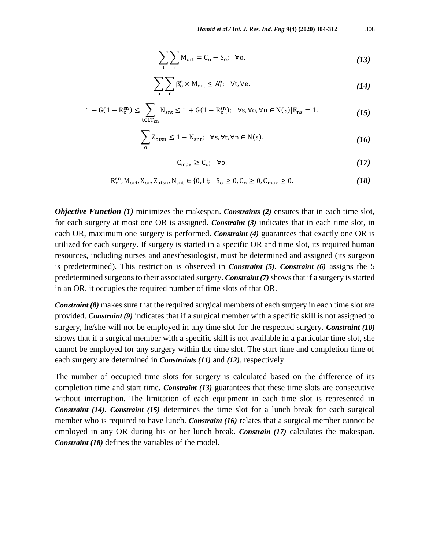$$
\sum_{t} \sum_{r} M_{ort} = C_o - S_o; \quad \forall o.
$$
 (13)

$$
\sum_{o} \sum_{r} \beta_o^e \times M_{ort} \le A_t^e; \quad \forall t, \forall e. \tag{14}
$$

$$
1 - G(1 - R_0^{sn}) \le \sum_{t \in LT_{sn}} N_{snt} \le 1 + G(1 - R_0^{sn}); \quad \forall s, \forall o, \forall n \in N(s) | E_{ns} = 1. \tag{15}
$$

$$
\sum_{o} Z_{\text{otsn}} \le 1 - N_{\text{snt}}; \quad \forall s, \forall t, \forall n \in N(s). \tag{16}
$$

$$
C_{\text{max}} \ge C_0; \quad \forall o. \tag{17}
$$

$$
R_o^{sn}, M_{ort}, X_{or}, Z_{ots}, N_{snt} \in \{0, 1\}; S_o \ge 0, C_o \ge 0, C_{max} \ge 0.
$$
 (18)

*Objective Function (1)* minimizes the makespan. *Constraints (2)* ensures that in each time slot, for each surgery at most one OR is assigned. *Constraint (3)* indicates that in each time slot, in each OR, maximum one surgery is performed. *Constraint (4)* guarantees that exactly one OR is utilized for each surgery. If surgery is started in a specific OR and time slot, its required human resources, including nurses and anesthesiologist, must be determined and assigned (its surgeon is predetermined). This restriction is observed in *Constraint (5)*. *Constraint (6)* assigns the 5 predetermined surgeons to their associated surgery. *Constraint (7)*shows that if a surgery is started in an OR, it occupies the required number of time slots of that OR.

*Constraint (8)* makes sure that the required surgical members of each surgery in each time slot are provided. *Constraint (9)* indicates that if a surgical member with a specific skill is not assigned to surgery, he/she will not be employed in any time slot for the respected surgery. *Constraint (10)* shows that if a surgical member with a specific skill is not available in a particular time slot, she cannot be employed for any surgery within the time slot. The start time and completion time of each surgery are determined in *Constraints (11)* and *(12)*, respectively.

The number of occupied time slots for surgery is calculated based on the difference of its completion time and start time. *Constraint (13)* guarantees that these time slots are consecutive without interruption. The limitation of each equipment in each time slot is represented in *Constraint (14)*. *Constraint (15)* determines the time slot for a lunch break for each surgical member who is required to have lunch. *Constraint (16)* relates that a surgical member cannot be employed in any OR during his or her lunch break. *Constrain (17)* calculates the makespan. *Constraint (18)* defines the variables of the model.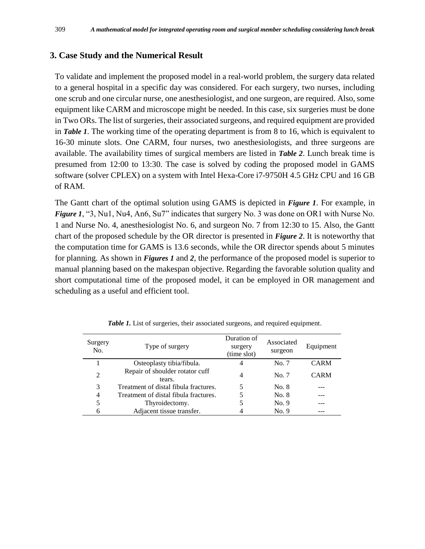## **3. Case Study and the Numerical Result**

To validate and implement the proposed model in a real-world problem, the surgery data related to a general hospital in a specific day was considered. For each surgery, two nurses, including one scrub and one circular nurse, one anesthesiologist, and one surgeon, are required. Also, some equipment like CARM and microscope might be needed. In this case, six surgeries must be done in Two ORs. The list of surgeries, their associated surgeons, and required equipment are provided in *Table 1*. The working time of the operating department is from 8 to 16, which is equivalent to 16-30 minute slots. One CARM, four nurses, two anesthesiologists, and three surgeons are available. The availability times of surgical members are listed in *Table 2*. Lunch break time is presumed from 12:00 to 13:30. The case is solved by coding the proposed model in GAMS software (solver CPLEX) on a system with Intel Hexa-Core i7-9750H 4.5 GHz CPU and 16 GB of RAM.

The Gantt chart of the optimal solution using GAMS is depicted in *Figure 1*. For example, in *Figure 1*, "3, Nu1, Nu4, An6, Su7" indicates that surgery No. 3 was done on OR1 with Nurse No. 1 and Nurse No. 4, anesthesiologist No. 6, and surgeon No. 7 from 12:30 to 15. Also, the Gantt chart of the proposed schedule by the OR director is presented in *Figure 2*. It is noteworthy that the computation time for GAMS is 13.6 seconds, while the OR director spends about 5 minutes for planning. As shown in *Figures 1* and *2*, the performance of the proposed model is superior to manual planning based on the makespan objective. Regarding the favorable solution quality and short computational time of the proposed model, it can be employed in OR management and scheduling as a useful and efficient tool.

| Surgery<br>No. | Type of surgery                           | Duration of<br>surgery<br>(time slot) | Associated<br>surgeon | Equipment   |
|----------------|-------------------------------------------|---------------------------------------|-----------------------|-------------|
|                | Osteoplasty tibia/fibula.                 |                                       | No. 7                 | <b>CARM</b> |
| 2              | Repair of shoulder rotator cuff<br>tears. | 4                                     | No. 7                 | <b>CARM</b> |
| 3              | Treatment of distal fibula fractures.     | 5                                     | No. 8                 |             |
| 4              | Treatment of distal fibula fractures.     |                                       | No. 8                 |             |
| 5              | Thyroidectomy.                            |                                       | No. 9                 |             |
| 6              | Adjacent tissue transfer.                 |                                       | No. 9                 |             |

*Table 1.* List of surgeries, their associated surgeons, and required equipment.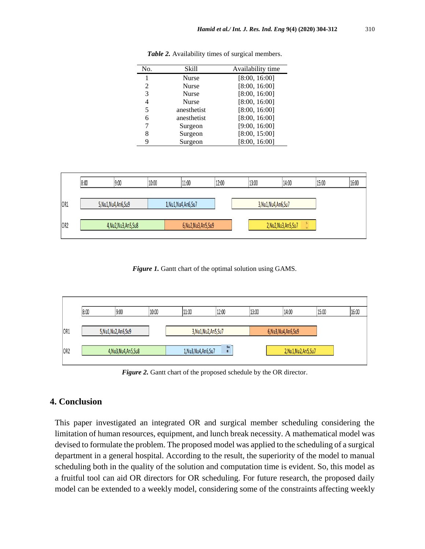| No. | Skill        | Availability time |
|-----|--------------|-------------------|
| 1   | <b>Nurse</b> | [8:00, 16:00]     |
| 2   | <b>Nurse</b> | [8:00, 16:00]     |
| 3   | <b>Nurse</b> | [8:00, 16:00]     |
| 4   | <b>Nurse</b> | [8:00, 16:00]     |
| 5   | anesthetist  | [8:00, 16:00]     |
| 6   | anesthetist  | [8:00, 16:00]     |
| 7   | Surgeon      | [9:00, 16:00]     |
| 8   | Surgeon      | [8:00, 15:00]     |
| 9   | Surgeon      | [8:00, 16:00]     |

*Table 2.* Availability times of surgical members.



*Figure 1.* Gantt chart of the optimal solution using GAMS.



*Figure 2.* Gantt chart of the proposed schedule by the OR director.

## **4. Conclusion**

This paper investigated an integrated OR and surgical member scheduling considering the limitation of human resources, equipment, and lunch break necessity. A mathematical model was devised to formulate the problem. The proposed model was applied to the scheduling of a surgical department in a general hospital. According to the result, the superiority of the model to manual scheduling both in the quality of the solution and computation time is evident. So, this model as a fruitful tool can aid OR directors for OR scheduling. For future research, the proposed daily model can be extended to a weekly model, considering some of the constraints affecting weekly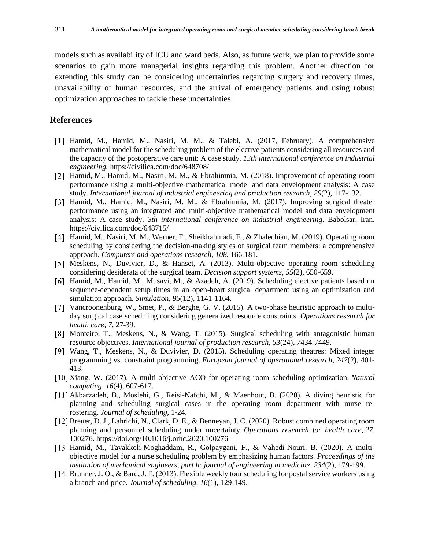models such as availability of ICU and ward beds. Also, as future work, we plan to provide some scenarios to gain more managerial insights regarding this problem. Another direction for extending this study can be considering uncertainties regarding surgery and recovery times, unavailability of human resources, and the arrival of emergency patients and using robust optimization approaches to tackle these uncertainties.

### **References**

- [1] Hamid, M., Hamid, M., Nasiri, M. M., & Talebi, A. (2017, February). A comprehensive mathematical model for the scheduling problem of the elective patients considering all resources and the capacity of the postoperative care unit: A case study. *13th international conference on industrial engineering.* https://civilica.com/doc/648708/
- [2] Hamid, M., Hamid, M., Nasiri, M. M., & Ebrahimnia, M. (2018). Improvement of operating room performance using a multi-objective mathematical model and data envelopment analysis: A case study. *International journal of industrial engineering and production research, 29*(2), 117-132.
- [3] Hamid, M., Hamid, M., Nasiri, M. M., & Ebrahimnia, M. (2017). Improving surgical theater performance using an integrated and multi-objective mathematical model and data envelopment analysis: A case study. *3th international conference on industrial engineering.* Babolsar, Iran. https://civilica.com/doc/648715/
- Hamid, M., Nasiri, M. M., Werner, F., Sheikhahmadi, F., & Zhalechian, M. (2019). Operating room scheduling by considering the decision-making styles of surgical team members: a comprehensive approach. *Computers and operations research, 108*, 166-181.
- [5] Meskens, N., Duvivier, D., & Hanset, A. (2013). Multi-objective operating room scheduling considering desiderata of the surgical team. *Decision support systems, 55*(2), 650-659.
- [6] Hamid, M., Hamid, M., Musavi, M., & Azadeh, A. (2019). Scheduling elective patients based on sequence-dependent setup times in an open-heart surgical department using an optimization and simulation approach. *Simulation, 95*(12), 1141-1164.
- [7] Vancroonenburg, W., Smet, P., & Berghe, G. V. (2015). A two-phase heuristic approach to multiday surgical case scheduling considering generalized resource constraints. *Operations research for health care, 7*, 27-39.
- [8] Monteiro, T., Meskens, N., & Wang, T. (2015). Surgical scheduling with antagonistic human resource objectives. *International journal of production research, 53*(24), 7434-7449.
- Wang, T., Meskens, N., & Duvivier, D. (2015). Scheduling operating theatres: Mixed integer programming vs. constraint programming. *European journal of operational research, 247*(2), 401- 413.
- [10] Xiang, W. (2017). A multi-objective ACO for operating room scheduling optimization. *Natural computing, 16*(4), 607-617.
- [11] Akbarzadeh, B., Moslehi, G., Reisi-Nafchi, M., & Maenhout, B. (2020). A diving heuristic for planning and scheduling surgical cases in the operating room department with nurse rerostering. *Journal of scheduling*, 1-24.
- Breuer, D. J., Lahrichi, N., Clark, D. E., & Benneyan, J. C. (2020). Robust combined operating room planning and personnel scheduling under uncertainty. *Operations research for health care, 27*, 100276. https://doi.org/10.1016/j.orhc.2020.100276
- [13] Hamid, M., Tavakkoli-Moghaddam, R., Golpaygani, F., & Vahedi-Nouri, B. (2020). A multiobjective model for a nurse scheduling problem by emphasizing human factors. *Proceedings of the institution of mechanical engineers, part h: journal of engineering in medicine, 234*(2), 179-199.
- [14] Brunner, J. O., & Bard, J. F. (2013). Flexible weekly tour scheduling for postal service workers using a branch and price. *Journal of scheduling, 16*(1), 129-149.